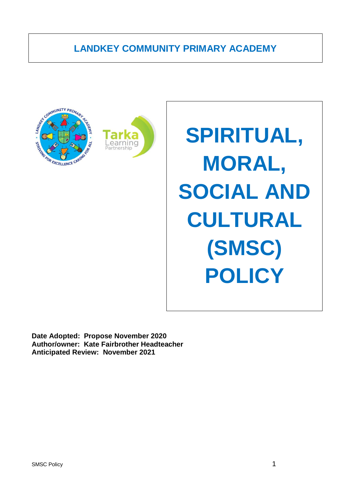# **LANDKEY COMMUNITY PRIMARY ACADEMY**





**SPIRITUAL, MORAL, SOCIAL AND CULTURAL (SMSC) POLICY**

**Date Adopted: Propose November 2020 Author/owner: Kate Fairbrother Headteacher Anticipated Review: November 2021**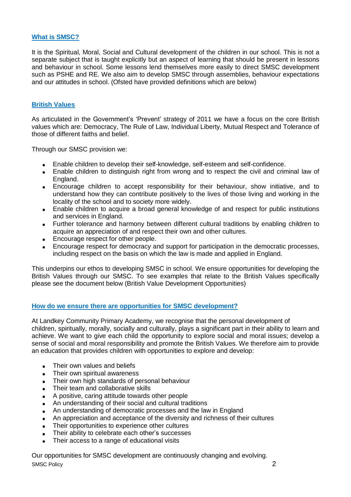# **What is SMSC?**

It is the Spiritual, Moral, Social and Cultural development of the children in our school. This is not a separate subject that is taught explicitly but an aspect of learning that should be present in lessons and behaviour in school. Some lessons lend themselves more easily to direct SMSC development such as PSHE and RE. We also aim to develop SMSC through assemblies, behaviour expectations and our attitudes in school. (Ofsted have provided definitions which are below)

# **British Values**

As articulated in the Government's 'Prevent' strategy of 2011 we have a focus on the core British values which are: Democracy, The Rule of Law, Individual Liberty, Mutual Respect and Tolerance of those of different faiths and belief.

Through our SMSC provision we:

- Enable children to develop their self-knowledge, self-esteem and self-confidence.
- Enable children to distinguish right from wrong and to respect the civil and criminal law of England.
- Encourage children to accept responsibility for their behaviour, show initiative, and to understand how they can contribute positively to the lives of those living and working in the locality of the school and to society more widely.
- Enable children to acquire a broad general knowledge of and respect for public institutions and services in England.
- Further tolerance and harmony between different cultural traditions by enabling children to acquire an appreciation of and respect their own and other cultures.
- Encourage respect for other people.
- Encourage respect for democracy and support for participation in the democratic processes, including respect on the basis on which the law is made and applied in England.

This underpins our ethos to developing SMSC in school. We ensure opportunities for developing the British Values through our SMSC. To see examples that relate to the British Values specifically please see the document below (British Value Development Opportunities)

## **How do we ensure there are opportunities for SMSC development?**

At Landkey Community Primary Academy, we recognise that the personal development of children, spiritually, morally, socially and culturally, plays a significant part in their ability to learn and achieve. We want to give each child the opportunity to explore social and moral issues; develop a sense of social and moral responsibility and promote the British Values. We therefore aim to provide an education that provides children with opportunities to explore and develop:

- Their own values and beliefs
- Their own spiritual awareness
- Their own high standards of personal behaviour
- Their team and collaborative skills
- A positive, caring attitude towards other people
- An understanding of their social and cultural traditions
- An understanding of democratic processes and the law in England
- An appreciation and acceptance of the diversity and richness of their cultures
- Their opportunities to experience other cultures
- Their ability to celebrate each other's successes
- Their access to a range of educational visits

SMSC Policy 2 Our opportunities for SMSC development are continuously changing and evolving.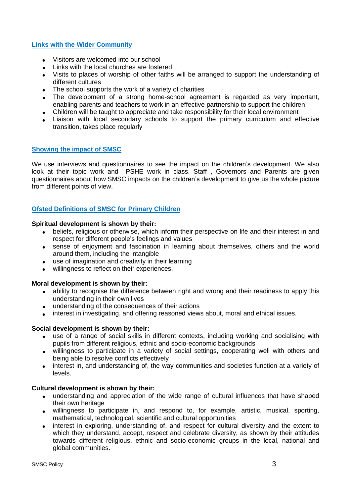# **Links with the Wider Community**

- Visitors are welcomed into our school
- Links with the local churches are fostered
- Visits to places of worship of other faiths will be arranged to support the understanding of different cultures
- The school supports the work of a variety of charities
- The development of a strong home-school agreement is regarded as very important, enabling parents and teachers to work in an effective partnership to support the children
- Children will be taught to appreciate and take responsibility for their local environment
- Liaison with local secondary schools to support the primary curriculum and effective transition, takes place regularly

## **Showing the impact of SMSC**

We use interviews and questionnaires to see the impact on the children's development. We also look at their topic work and PSHE work in class. Staff , Governors and Parents are given questionnaires about how SMSC impacts on the children's development to give us the whole picture from different points of view.

# **Ofsted Definitions of SMSC for Primary Children**

#### **Spiritual development is shown by their:**

- beliefs, religious or otherwise, which inform their perspective on life and their interest in and respect for different people's feelings and values
- sense of enjoyment and fascination in learning about themselves, others and the world around them, including the intangible
- use of imagination and creativity in their learning
- willingness to reflect on their experiences.

#### **Moral development is shown by their:**

- ability to recognise the difference between right and wrong and their readiness to apply this understanding in their own lives
- understanding of the consequences of their actions
- interest in investigating, and offering reasoned views about, moral and ethical issues.

#### **Social development is shown by their:**

- use of a range of social skills in different contexts, including working and socialising with pupils from different religious, ethnic and socio-economic backgrounds
- willingness to participate in a variety of social settings, cooperating well with others and being able to resolve conflicts effectively
- interest in, and understanding of, the way communities and societies function at a variety of levels.

#### **Cultural development is shown by their:**

- understanding and appreciation of the wide range of cultural influences that have shaped their own heritage
- willingness to participate in, and respond to, for example, artistic, musical, sporting, mathematical, technological, scientific and cultural opportunities
- interest in exploring, understanding of, and respect for cultural diversity and the extent to which they understand, accept, respect and celebrate diversity, as shown by their attitudes towards different religious, ethnic and socio-economic groups in the local, national and global communities.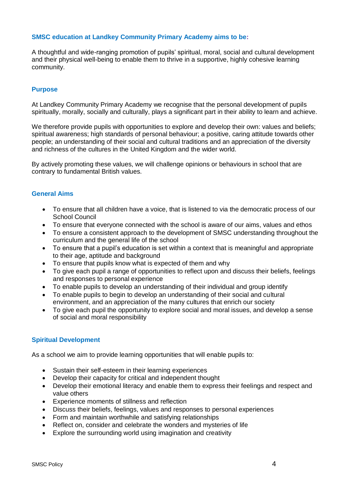## **SMSC education at Landkey Community Primary Academy aims to be:**

A thoughtful and wide-ranging promotion of pupils' spiritual, moral, social and cultural development and their physical well-being to enable them to thrive in a supportive, highly cohesive learning community.

## **Purpose**

At Landkey Community Primary Academy we recognise that the personal development of pupils spiritually, morally, socially and culturally, plays a significant part in their ability to learn and achieve.

We therefore provide pupils with opportunities to explore and develop their own: values and beliefs: spiritual awareness; high standards of personal behaviour; a positive, caring attitude towards other people; an understanding of their social and cultural traditions and an appreciation of the diversity and richness of the cultures in the United Kingdom and the wider world.

By actively promoting these values, we will challenge opinions or behaviours in school that are contrary to fundamental British values.

## **General Aims**

- To ensure that all children have a voice, that is listened to via the democratic process of our School Council
- To ensure that everyone connected with the school is aware of our aims, values and ethos
- To ensure a consistent approach to the development of SMSC understanding throughout the curriculum and the general life of the school
- To ensure that a pupil's education is set within a context that is meaningful and appropriate to their age, aptitude and background
- To ensure that pupils know what is expected of them and why
- To give each pupil a range of opportunities to reflect upon and discuss their beliefs, feelings and responses to personal experience
- To enable pupils to develop an understanding of their individual and group identify
- To enable pupils to begin to develop an understanding of their social and cultural environment, and an appreciation of the many cultures that enrich our society
- To give each pupil the opportunity to explore social and moral issues, and develop a sense of social and moral responsibility

## **Spiritual Development**

As a school we aim to provide learning opportunities that will enable pupils to:

- Sustain their self-esteem in their learning experiences
- Develop their capacity for critical and independent thought
- Develop their emotional literacy and enable them to express their feelings and respect and value others
- Experience moments of stillness and reflection
- Discuss their beliefs, feelings, values and responses to personal experiences
- Form and maintain worthwhile and satisfying relationships
- Reflect on, consider and celebrate the wonders and mysteries of life
- Explore the surrounding world using imagination and creativity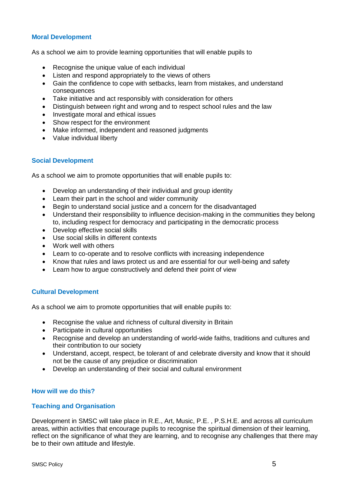# **Moral Development**

As a school we aim to provide learning opportunities that will enable pupils to

- Recognise the unique value of each individual
- Listen and respond appropriately to the views of others
- Gain the confidence to cope with setbacks, learn from mistakes, and understand consequences
- Take initiative and act responsibly with consideration for others
- Distinguish between right and wrong and to respect school rules and the law
- Investigate moral and ethical issues
- Show respect for the environment
- Make informed, independent and reasoned judgments
- Value individual liberty

## **Social Development**

As a school we aim to promote opportunities that will enable pupils to:

- Develop an understanding of their individual and group identity
- Learn their part in the school and wider community
- Begin to understand social justice and a concern for the disadvantaged
- Understand their responsibility to influence decision-making in the communities they belong to, including respect for democracy and participating in the democratic process
- Develop effective social skills
- Use social skills in different contexts
- Work well with others
- Learn to co-operate and to resolve conflicts with increasing independence
- Know that rules and laws protect us and are essential for our well-being and safety
- Learn how to argue constructively and defend their point of view

## **Cultural Development**

As a school we aim to promote opportunities that will enable pupils to:

- Recognise the value and richness of cultural diversity in Britain
- Participate in cultural opportunities
- Recognise and develop an understanding of world-wide faiths, traditions and cultures and their contribution to our society
- Understand, accept, respect, be tolerant of and celebrate diversity and know that it should not be the cause of any prejudice or discrimination
- Develop an understanding of their social and cultural environment

## **How will we do this?**

#### **Teaching and Organisation**

Development in SMSC will take place in R.E., Art, Music, P.E. , P.S.H.E. and across all curriculum areas, within activities that encourage pupils to recognise the spiritual dimension of their learning, reflect on the significance of what they are learning, and to recognise any challenges that there may be to their own attitude and lifestyle.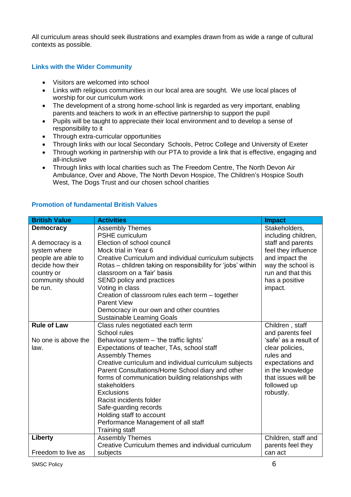All curriculum areas should seek illustrations and examples drawn from as wide a range of cultural contexts as possible.

# **Links with the Wider Community**

- Visitors are welcomed into school
- Links with religious communities in our local area are sought. We use local places of worship for our curriculum work
- The development of a strong home-school link is regarded as very important, enabling parents and teachers to work in an effective partnership to support the pupil
- Pupils will be taught to appreciate their local environment and to develop a sense of responsibility to it
- Through extra-curricular opportunities
- Through links with our local Secondary Schools, Petroc College and University of Exeter
- Through working in partnership with our PTA to provide a link that is effective, engaging and all-inclusive
- Through links with local charities such as The Freedom Centre, The North Devon Air Ambulance, Over and Above, The North Devon Hospice, The Children's Hospice South West, The Dogs Trust and our chosen school charities

| <b>British Value</b> | <b>Activities</b>                                           | <b>Impact</b>         |
|----------------------|-------------------------------------------------------------|-----------------------|
| <b>Democracy</b>     | <b>Assembly Themes</b>                                      | Stakeholders,         |
|                      | PSHE curriculum                                             | including children,   |
| A democracy is a     | Election of school council                                  | staff and parents     |
| system where         | Mock trial in Year 6                                        | feel they influence   |
| people are able to   | Creative Curriculum and individual curriculum subjects      | and impact the        |
| decide how their     | Rotas - children taking on responsibility for 'jobs' within | way the school is     |
| country or           | classroom on a 'fair' basis                                 | run and that this     |
| community should     | SEND policy and practices                                   | has a positive        |
| be run.              | Voting in class                                             | impact.               |
|                      | Creation of classroom rules each term - together            |                       |
|                      | <b>Parent View</b>                                          |                       |
|                      | Democracy in our own and other countries                    |                       |
|                      | <b>Sustainable Learning Goals</b>                           |                       |
| <b>Rule of Law</b>   | Class rules negotiated each term                            | Children, staff       |
|                      | School rules                                                | and parents feel      |
| No one is above the  | Behaviour system - 'the traffic lights'                     | 'safe' as a result of |
| law.                 | Expectations of teacher, TAs, school staff                  | clear policies,       |
|                      | <b>Assembly Themes</b>                                      | rules and             |
|                      | Creative curriculum and individual curriculum subjects      | expectations and      |
|                      | Parent Consultations/Home School diary and other            | in the knowledge      |
|                      | forms of communication building relationships with          | that issues will be   |
|                      | stakeholders                                                | followed up           |
|                      | <b>Exclusions</b>                                           | robustly.             |
|                      | Racist incidents folder                                     |                       |
|                      | Safe-guarding records                                       |                       |
|                      | Holding staff to account                                    |                       |
|                      | Performance Management of all staff                         |                       |
|                      | <b>Training staff</b>                                       |                       |
| Liberty              | <b>Assembly Themes</b>                                      | Children, staff and   |
|                      | Creative Curriculum themes and individual curriculum        | parents feel they     |
| Freedom to live as   | subjects                                                    | can act               |

# **Promotion of fundamental British Values**